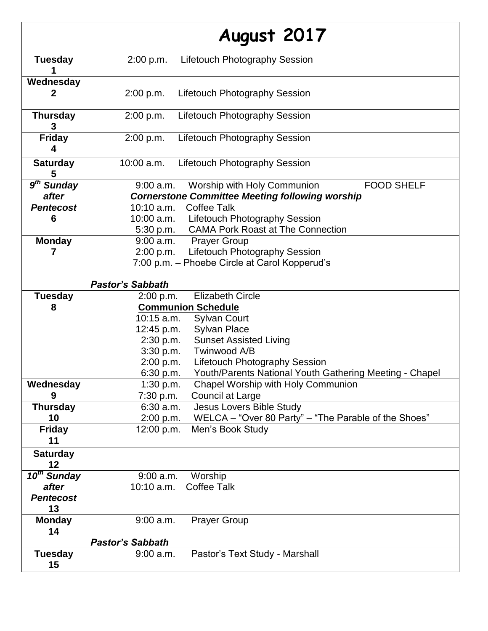|                                                          | August 2017                                                                                                                                                                                                         |
|----------------------------------------------------------|---------------------------------------------------------------------------------------------------------------------------------------------------------------------------------------------------------------------|
| <b>Tuesday</b>                                           | <b>Lifetouch Photography Session</b><br>2:00 p.m.                                                                                                                                                                   |
| Wednesday                                                | 2:00 p.m.<br><b>Lifetouch Photography Session</b>                                                                                                                                                                   |
| <b>Thursday</b><br>3                                     | 2:00 p.m.<br><b>Lifetouch Photography Session</b>                                                                                                                                                                   |
| <b>Friday</b><br>4                                       | <b>Lifetouch Photography Session</b><br>2:00 p.m.                                                                                                                                                                   |
| <b>Saturday</b><br>5                                     | 10:00 a.m.<br><b>Lifetouch Photography Session</b>                                                                                                                                                                  |
| 9 <sup>th</sup> Sunday<br>after<br><b>Pentecost</b><br>6 | <b>FOOD SHELF</b><br>$9:00$ a.m.<br>Worship with Holy Communion<br><b>Cornerstone Committee Meeting following worship</b><br><b>Coffee Talk</b><br>10:10 a.m.<br><b>Lifetouch Photography Session</b><br>10:00 a.m. |
| <b>Monday</b><br>7                                       | 5:30 p.m. CAMA Pork Roast at The Connection<br>$9:00$ a.m.<br><b>Prayer Group</b><br><b>Lifetouch Photography Session</b><br>2:00 p.m.<br>7:00 p.m. - Phoebe Circle at Carol Kopperud's                             |
|                                                          | <b>Pastor's Sabbath</b>                                                                                                                                                                                             |
| <b>Tuesday</b>                                           | <b>Elizabeth Circle</b><br>2:00 p.m.                                                                                                                                                                                |
| 8                                                        | <b>Communion Schedule</b><br>10:15 a.m.                                                                                                                                                                             |
|                                                          | <b>Sylvan Court</b><br><b>Sylvan Place</b><br>12:45 p.m.                                                                                                                                                            |
|                                                          | <b>Sunset Assisted Living</b><br>2:30 p.m.                                                                                                                                                                          |
|                                                          | 3:30 p.m.<br>Twinwood A/B                                                                                                                                                                                           |
|                                                          | 2:00 p.m.<br><b>Lifetouch Photography Session</b>                                                                                                                                                                   |
|                                                          | 6:30 p.m.<br>Youth/Parents National Youth Gathering Meeting - Chapel                                                                                                                                                |
| Wednesday                                                | Chapel Worship with Holy Communion<br>1:30 p.m.                                                                                                                                                                     |
| 9                                                        | 7:30 p.m.<br>Council at Large                                                                                                                                                                                       |
| <b>Thursday</b>                                          | Jesus Lovers Bible Study<br>$6:30$ a.m.                                                                                                                                                                             |
| 10                                                       | WELCA – "Over 80 Party" – "The Parable of the Shoes"<br>2:00 p.m.                                                                                                                                                   |
| <b>Friday</b><br>11                                      | 12:00 p.m.<br>Men's Book Study                                                                                                                                                                                      |
| <b>Saturday</b><br>12                                    |                                                                                                                                                                                                                     |
| 10 <sup>th</sup> Sunday                                  | Worship<br>$9:00$ a.m.                                                                                                                                                                                              |
| after                                                    | <b>Coffee Talk</b><br>10:10 a.m.                                                                                                                                                                                    |
| <b>Pentecost</b><br>13                                   |                                                                                                                                                                                                                     |
| <b>Monday</b><br>14                                      | $9:00$ a.m.<br><b>Prayer Group</b>                                                                                                                                                                                  |
|                                                          | <b>Pastor's Sabbath</b>                                                                                                                                                                                             |
| <b>Tuesday</b><br>15                                     | Pastor's Text Study - Marshall<br>9:00 a.m.                                                                                                                                                                         |